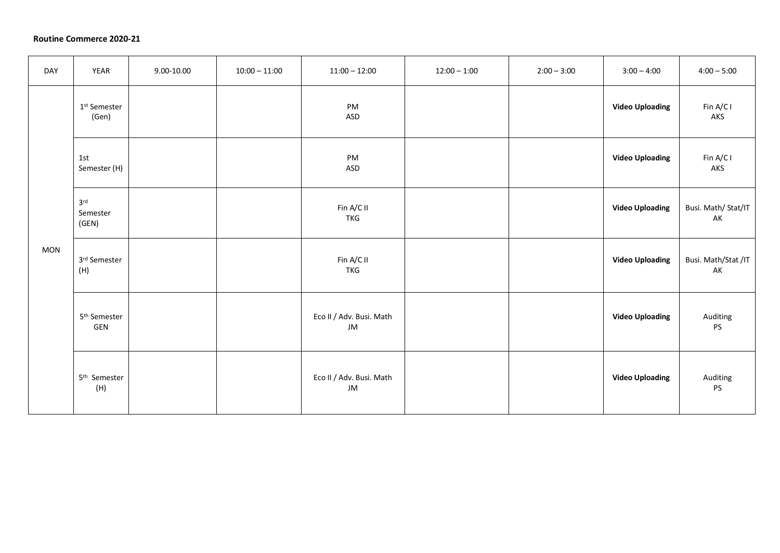## **Routine Commerce 2020-21**

| DAY        | <b>YEAR</b>                          | 9.00-10.00 | $10:00 - 11:00$ | $11:00 - 12:00$                | $12:00 - 1:00$ | $2:00 - 3:00$ | $3:00 - 4:00$          | $4:00 - 5:00$             |
|------------|--------------------------------------|------------|-----------------|--------------------------------|----------------|---------------|------------------------|---------------------------|
| <b>MON</b> | 1 <sup>st</sup> Semester<br>(Gen)    |            |                 | PM<br>ASD                      |                |               | <b>Video Uploading</b> | Fin A/C I<br>AKS          |
|            | 1st<br>Semester (H)                  |            |                 | PM<br><b>ASD</b>               |                |               | <b>Video Uploading</b> | Fin A/C I<br>AKS          |
|            | 3 <sup>rd</sup><br>Semester<br>(GEN) |            |                 | Fin A/C II<br><b>TKG</b>       |                |               | <b>Video Uploading</b> | Busi. Math/ Stat/IT<br>AK |
|            | 3rd Semester<br>(H)                  |            |                 | Fin A/C II<br><b>TKG</b>       |                |               | <b>Video Uploading</b> | Busi. Math/Stat /IT<br>AK |
|            | 5 <sup>th</sup> Semester<br>GEN      |            |                 | Eco II / Adv. Busi. Math<br>JM |                |               | <b>Video Uploading</b> | Auditing<br>PS            |
|            | 5 <sup>th</sup> Semester<br>(H)      |            |                 | Eco II / Adv. Busi. Math<br>JM |                |               | <b>Video Uploading</b> | Auditing<br>PS            |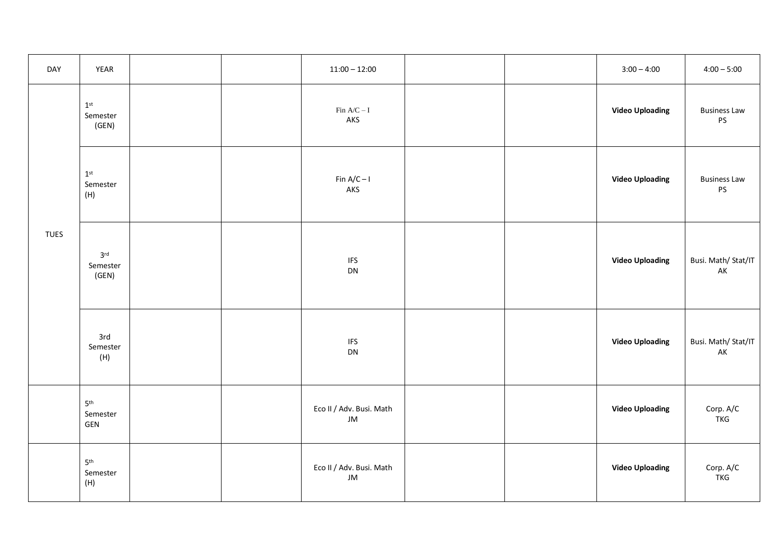| DAY         | YEAR                                        |  | $11:00 - 12:00$                |  | $3:00 - 4:00$          | $4:00 - 5:00$                    |
|-------------|---------------------------------------------|--|--------------------------------|--|------------------------|----------------------------------|
| <b>TUES</b> | $1^{\rm st}$<br>Semester<br>(GEN)           |  | Fin $A/C-I$<br>AKS             |  | <b>Video Uploading</b> | <b>Business Law</b><br>PS        |
|             | $1^\mathrm{st}$<br>Semester<br>(H)          |  | Fin $A/C - I$<br>AKS           |  | <b>Video Uploading</b> | <b>Business Law</b><br><b>PS</b> |
|             | 3 <sup>rd</sup><br>Semester<br>(GEN)        |  | <b>IFS</b><br>DN               |  | <b>Video Uploading</b> | Busi. Math/ Stat/IT<br>AK        |
|             | 3rd<br>Semester<br>(H)                      |  | <b>IFS</b><br>DN               |  | <b>Video Uploading</b> | Busi. Math/ Stat/IT<br>AK        |
|             | 5 <sup>th</sup><br>Semester<br>GEN          |  | Eco II / Adv. Busi. Math<br>JM |  | <b>Video Uploading</b> | Corp. A/C<br><b>TKG</b>          |
|             | $\mathsf{5}^\mathsf{th}$<br>Semester<br>(H) |  | Eco II / Adv. Busi. Math<br>JM |  | <b>Video Uploading</b> | Corp. A/C<br><b>TKG</b>          |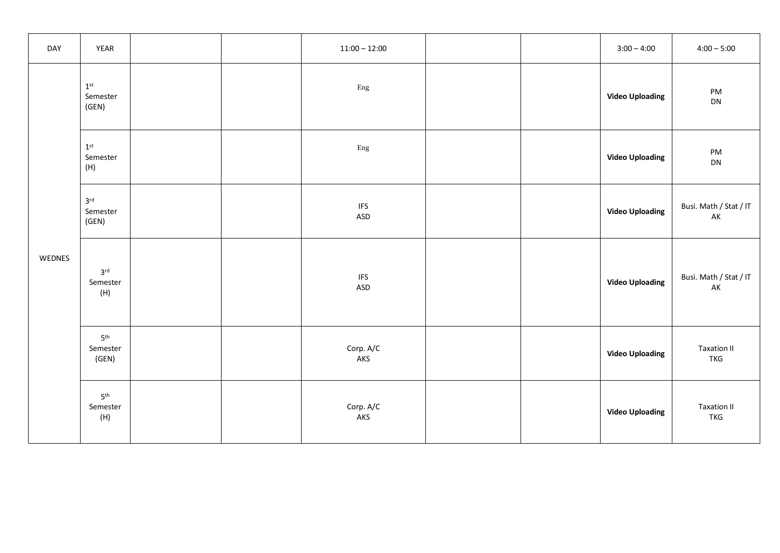| DAY    | YEAR                                 |  | $11:00 - 12:00$                    |  | $3:00 - 4:00$          | $4:00 - 5:00$                        |
|--------|--------------------------------------|--|------------------------------------|--|------------------------|--------------------------------------|
| WEDNES | $1^\mathrm{st}$<br>Semester<br>(GEN) |  | Eng                                |  | <b>Video Uploading</b> | PM<br>DN                             |
|        | $1^\mathrm{st}$<br>Semester<br>(H)   |  | Eng                                |  | <b>Video Uploading</b> | PM<br>DN                             |
|        | 3 <sup>rd</sup><br>Semester<br>(GEN) |  | <b>IFS</b><br>ASD                  |  | <b>Video Uploading</b> | Busi. Math / Stat / IT<br>${\sf AK}$ |
|        | 3 <sup>rd</sup><br>Semester<br>(H)   |  | $\ensuremath{\mathsf{IFS}}$<br>ASD |  | <b>Video Uploading</b> | Busi. Math / Stat / IT<br>AK         |
|        | 5 <sup>th</sup><br>Semester<br>(GEN) |  | Corp. A/C<br>AKS                   |  | <b>Video Uploading</b> | <b>Taxation II</b><br>TKG            |
|        | 5 <sup>th</sup><br>Semester<br>(H)   |  | Corp. A/C<br>AKS                   |  | <b>Video Uploading</b> | <b>Taxation II</b><br><b>TKG</b>     |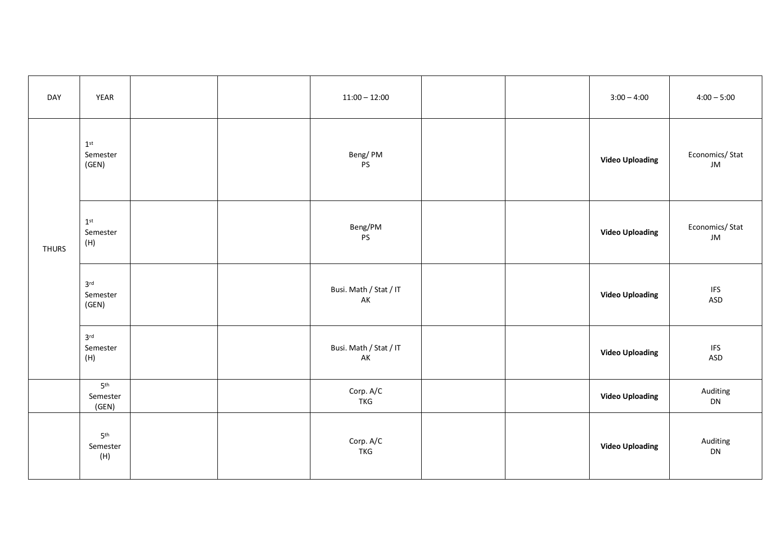| DAY          | YEAR                                 |  | $11:00 - 12:00$              |  | $3:00 - 4:00$          | $4:00 - 5:00$          |
|--------------|--------------------------------------|--|------------------------------|--|------------------------|------------------------|
|              | 1 <sup>st</sup><br>Semester<br>(GEN) |  | Beng/PM<br>$\mathsf{PS}$     |  | <b>Video Uploading</b> | Economics/Stat<br>JM   |
| <b>THURS</b> | 1 <sup>st</sup><br>Semester<br>(H)   |  | Beng/PM<br>$\mathsf{PS}$     |  | <b>Video Uploading</b> | Economics/Stat<br>JM   |
|              | 3 <sup>rd</sup><br>Semester<br>(GEN) |  | Busi. Math / Stat / IT<br>AK |  | <b>Video Uploading</b> | <b>IFS</b><br>ASD      |
|              | 3 <sup>rd</sup><br>Semester<br>(H)   |  | Busi. Math / Stat / IT<br>AK |  | <b>Video Uploading</b> | <b>IFS</b><br>ASD      |
|              | 5 <sup>th</sup><br>Semester<br>(GEN) |  | Corp. A/C<br><b>TKG</b>      |  | <b>Video Uploading</b> | Auditing<br>${\sf DN}$ |
|              | 5 <sup>th</sup><br>Semester<br>(H)   |  | Corp. A/C<br><b>TKG</b>      |  | <b>Video Uploading</b> | Auditing<br>DN         |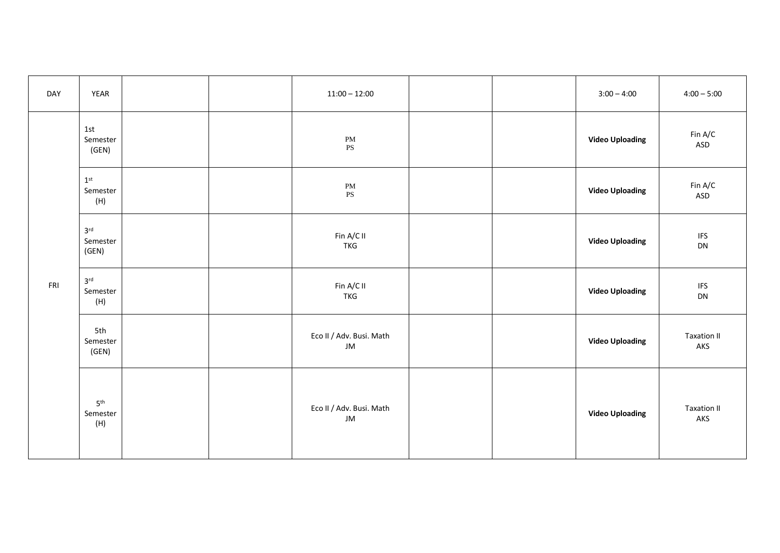| DAY | YEAR                                 |  | $11:00 - 12:00$                         |  | $3:00 - 4:00$          | $4:00 - 5:00$             |
|-----|--------------------------------------|--|-----------------------------------------|--|------------------------|---------------------------|
| FRI | 1st<br>Semester<br>(GEN)             |  | $\mathbf{PM}$<br>$\mathbf{P}\mathbf{S}$ |  | <b>Video Uploading</b> | Fin A/C<br>ASD            |
|     | $1^\mathrm{st}$<br>Semester<br>(H)   |  | $\mathbf{PM}$<br>$\mathbf{P}\mathbf{S}$ |  | <b>Video Uploading</b> | Fin A/C<br>ASD            |
|     | 3 <sup>rd</sup><br>Semester<br>(GEN) |  | Fin $A/C$ II<br><b>TKG</b>              |  | <b>Video Uploading</b> | <b>IFS</b><br>DN          |
|     | 3 <sup>rd</sup><br>Semester<br>(H)   |  | Fin A/C II<br><b>TKG</b>                |  | <b>Video Uploading</b> | <b>IFS</b><br>DN          |
|     | 5th<br>Semester<br>(GEN)             |  | Eco II / Adv. Busi. Math<br>JM          |  | <b>Video Uploading</b> | <b>Taxation II</b><br>AKS |
|     | 5 <sup>th</sup><br>Semester<br>(H)   |  | Eco II / Adv. Busi. Math<br>JM          |  | <b>Video Uploading</b> | <b>Taxation II</b><br>AKS |